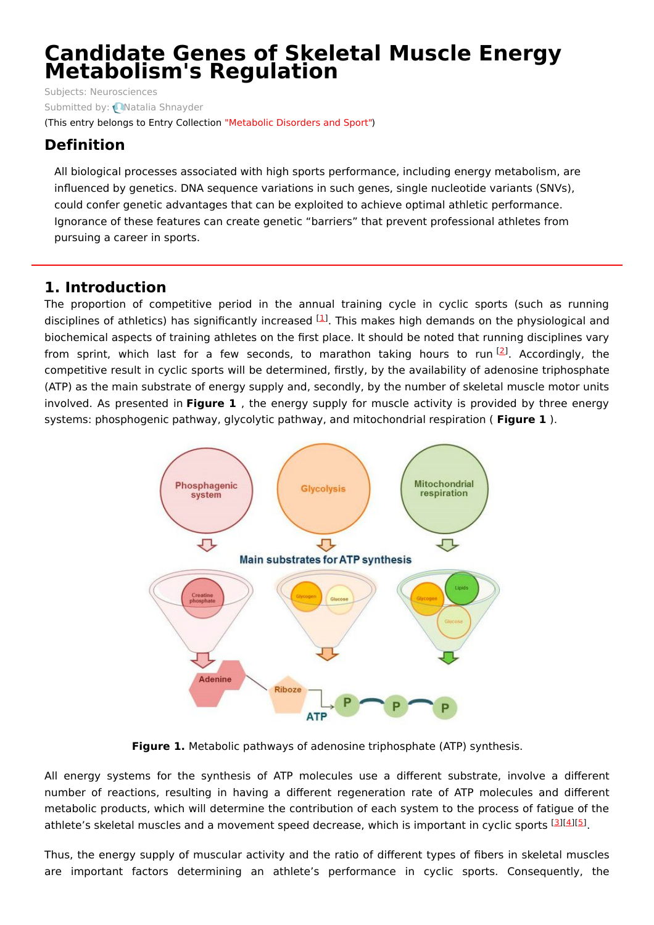# **Candidate Genes of Skeletal Muscle Energy Metabolism's Regulation**

Subjects: [Neurosciences](https://encyclopedia.pub/item/subject/280) Submitted by: Natalia [Shnayder](https://sciprofiles.com/profile/1472712) (This entry belongs to Entry Collection ["Metabolic](https://encyclopedia.pub/entry_collection?id=57) Disorders and Sport")

## **Definition**

All biological processes associated with high sports performance, including energy metabolism, are influenced by genetics. DNA sequence variations in such genes, single nucleotide variants (SNVs), could confer genetic advantages that can be exploited to achieve optimal athletic performance. Ignorance of these features can create genetic "barriers" that prevent professional athletes from pursuing a career in sports.

### **1. Introduction**

The proportion of competitive period in the annual training cycle in cyclic sports (such as running disciplines of athletics) has significantly increased <sup>[\[1](#page-2-0)]</sup>. This makes high demands on the physiological and biochemical aspects of training athletes on the first place. It should be noted that running disciplines vary from sprint, which last for a few seconds, to marathon taking hours to run<sup>[\[2](#page-2-1)]</sup>. Accordingly, the competitive result in cyclic sports will be determined, firstly, by the availability of adenosine triphosphate (ATP) as the main substrate of energy supply and, secondly, by the number of skeletal muscle motor units involved. As presented in **Figure 1** , the energy supply for muscle activity is provided by three energy systems: phosphogenic pathway, glycolytic pathway, and mitochondrial respiration ( **Figure 1** ).



**Figure 1.** Metabolic pathways of adenosine triphosphate (ATP) synthesis.

All energy systems for the synthesis of ATP molecules use a different substrate, involve a different number of reactions, resulting in having a different regeneration rate of ATP molecules and different metabolic products, which will determine the contribution of each system to the process of fatigue of the athlete's skeletal muscles and a movement speed decrease, which is important in cyclic sports [\[3](#page-2-2)][\[4](#page-2-3)][[5](#page-2-4)].

Thus, the energy supply of muscular activity and the ratio of different types of fibers in skeletal muscles are important factors determining an athlete's performance in cyclic sports. Consequently, the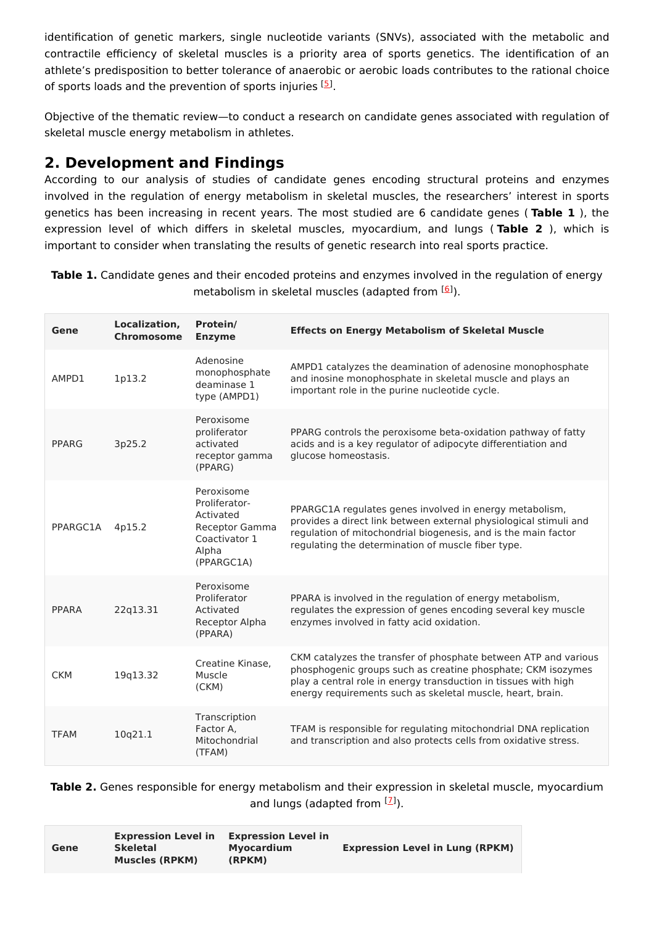identification of genetic markers, single nucleotide variants (SNVs), associated with the metabolic and contractile efficiency of skeletal muscles is a priority area of sports genetics. The identification of an athlete's predisposition to better tolerance of anaerobic or aerobic loads contributes to the rational choice of sports loads and the prevention of sports injuries <sup>[[5](#page-2-4)]</sup>.

Objective of the thematic review—to conduct a research on candidate genes associated with regulation of skeletal muscle energy metabolism in athletes.

## **2. Development and Findings**

According to our analysis of studies of candidate genes encoding structural proteins and enzymes involved in the regulation of energy metabolism in skeletal muscles, the researchers' interest in sports genetics has been increasing in recent years. The most studied are 6 candidate genes ( **Table 1** ), the expression level of which differs in skeletal muscles, myocardium, and lungs ( **Table 2** ), which is important to consider when translating the results of genetic research into real sports practice.

**Table 1.** Candidate genes and their encoded proteins and enzymes involved in the regulation of energy metabolism in skeletal muscles (adapted from <sup>[\[6](#page-2-5)]</sup>).

| Gene        | Localization,<br><b>Chromosome</b> | Protein/<br><b>Enzyme</b>                                                                          | <b>Effects on Energy Metabolism of Skeletal Muscle</b>                                                                                                                                                                                                           |
|-------------|------------------------------------|----------------------------------------------------------------------------------------------------|------------------------------------------------------------------------------------------------------------------------------------------------------------------------------------------------------------------------------------------------------------------|
| AMPD1       | 1p13.2                             | Adenosine<br>monophosphate<br>deaminase 1<br>type (AMPD1)                                          | AMPD1 catalyzes the deamination of adenosine monophosphate<br>and inosine monophosphate in skeletal muscle and plays an<br>important role in the purine nucleotide cycle.                                                                                        |
| PPARG       | 3p25.2                             | Peroxisome<br>proliferator<br>activated<br>receptor gamma<br>(PPARG)                               | PPARG controls the peroxisome beta-oxidation pathway of fatty<br>acids and is a key regulator of adipocyte differentiation and<br>glucose homeostasis.                                                                                                           |
| PPARGC1A    | 4p15.2                             | Peroxisome<br>Proliferator-<br>Activated<br>Receptor Gamma<br>Coactivator 1<br>Alpha<br>(PPARGC1A) | PPARGC1A regulates genes involved in energy metabolism,<br>provides a direct link between external physiological stimuli and<br>regulation of mitochondrial biogenesis, and is the main factor<br>regulating the determination of muscle fiber type.             |
| PPARA       | 22q13.31                           | Peroxisome<br>Proliferator<br>Activated<br>Receptor Alpha<br>(PPARA)                               | PPARA is involved in the regulation of energy metabolism,<br>regulates the expression of genes encoding several key muscle<br>enzymes involved in fatty acid oxidation.                                                                                          |
| <b>CKM</b>  | 19q13.32                           | Creatine Kinase.<br>Muscle<br>(CKM)                                                                | CKM catalyzes the transfer of phosphate between ATP and various<br>phosphogenic groups such as creatine phosphate; CKM isozymes<br>play a central role in energy transduction in tissues with high<br>energy requirements such as skeletal muscle, heart, brain. |
| <b>TFAM</b> | 10q21.1                            | Transcription<br>Factor A,<br>Mitochondrial<br>(TFAM)                                              | TFAM is responsible for regulating mitochondrial DNA replication<br>and transcription and also protects cells from oxidative stress.                                                                                                                             |

**Table 2.** Genes responsible for energy metabolism and their expression in skeletal muscle, myocardium and lungs (adapted from [1]).

| <b>Expression Level in</b><br><b>Skeletal</b><br>Gene<br><b>Muscles (RPKM)</b> | <b>Expression Level in</b><br>Myocardium<br>(RPKM) | <b>Expression Level in Lung (RPKM)</b> |
|--------------------------------------------------------------------------------|----------------------------------------------------|----------------------------------------|
|--------------------------------------------------------------------------------|----------------------------------------------------|----------------------------------------|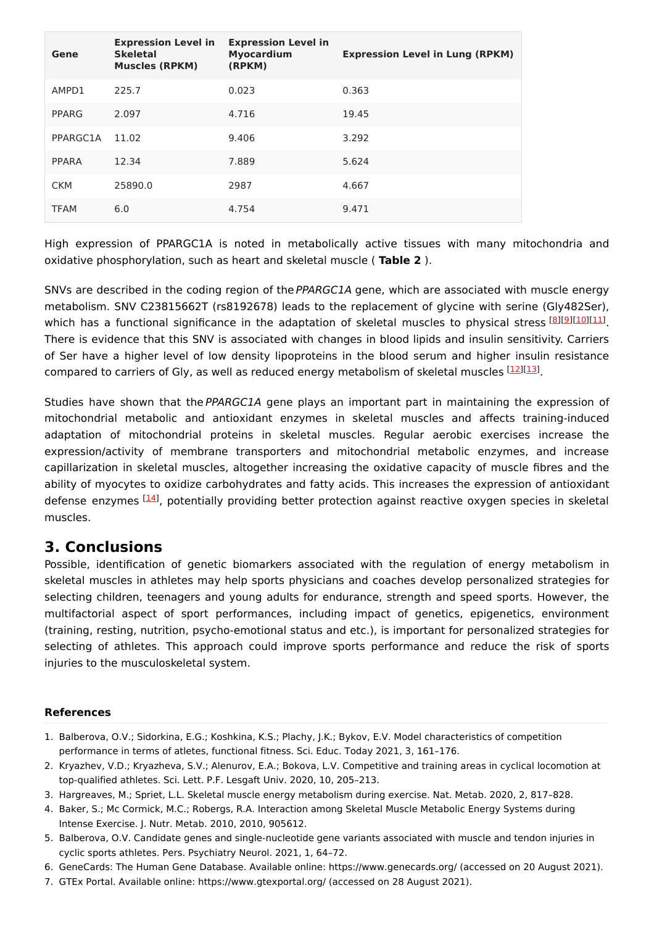| Gene         | <b>Expression Level in</b><br><b>Skeletal</b><br><b>Muscles (RPKM)</b> | <b>Expression Level in</b><br><b>Myocardium</b><br>(RPKM) | <b>Expression Level in Lung (RPKM)</b> |
|--------------|------------------------------------------------------------------------|-----------------------------------------------------------|----------------------------------------|
| AMPD1        | 225.7                                                                  | 0.023                                                     | 0.363                                  |
| PPARG        | 2.097                                                                  | 4.716                                                     | 19.45                                  |
| PPARGC1A     | 11.02                                                                  | 9.406                                                     | 3.292                                  |
| <b>PPARA</b> | 12.34                                                                  | 7.889                                                     | 5.624                                  |
| <b>CKM</b>   | 25890.0                                                                | 2987                                                      | 4.667                                  |
| <b>TFAM</b>  | 6.0                                                                    | 4.754                                                     | 9.471                                  |

High expression of PPARGC1A is noted in metabolically active tissues with many mitochondria and oxidative phosphorylation, such as heart and skeletal muscle ( **Table 2** ).

SNVs are described in the coding region of the PPARGC1A gene, which are associated with muscle energy metabolism. SNV C23815662T (rs8192678) leads to the replacement of glycine with serine (Gly482Ser), which has a functional significance in the adaptation of skeletal muscles to physical stress [\[8](#page-3-0)][\[9](#page-3-1)][\[10](#page-3-2)][\[11](#page-3-3)]. There is evidence that this SNV is associated with changes in blood lipids and insulin sensitivity. Carriers of Ser have a higher level of low density lipoproteins in the blood serum and higher insulin resistance compared to carriers of Gly, as well as reduced energy metabolism of skeletal muscles [\[12](#page-3-4)][\[13](#page-3-5)].

Studies have shown that the PPARGC1A gene plays an important part in maintaining the expression of mitochondrial metabolic and antioxidant enzymes in skeletal muscles and affects training-induced adaptation of mitochondrial proteins in skeletal muscles. Regular aerobic exercises increase the expression/activity of membrane transporters and mitochondrial metabolic enzymes, and increase capillarization in skeletal muscles, altogether increasing the oxidative capacity of muscle fibres and the ability of myocytes to oxidize carbohydrates and fatty acids. This increases the expression of antioxidant defense enzymes <a>[[14\]](#page-3-6)</a>, potentially providing better protection against reactive oxygen species in skeletal muscles.

#### **3. Conclusions**

Possible, identification of genetic biomarkers associated with the regulation of energy metabolism in skeletal muscles in athletes may help sports physicians and coaches develop personalized strategies for selecting children, teenagers and young adults for endurance, strength and speed sports. However, the multifactorial aspect of sport performances, including impact of genetics, epigenetics, environment (training, resting, nutrition, psycho-emotional status and etc.), is important for personalized strategies for selecting of athletes. This approach could improve sports performance and reduce the risk of sports injuries to the musculoskeletal system.

#### **References**

- <span id="page-2-0"></span>1. Balberova, O.V.; Sidorkina, E.G.; Koshkina, K.S.; Plachy, J.K.; Bykov, E.V. Model characteristics of competition performance in terms of atletes, functional fitness. Sci. Educ. Today 2021, 3, 161–176.
- <span id="page-2-1"></span>2. Kryazhev, V.D.; Kryazheva, S.V.; Alenurov, E.A.; Bokova, L.V. Competitive and training areas in cyclical locomotion at top-qualified athletes. Sci. Lett. P.F. Lesgaft Univ. 2020, 10, 205–213.
- <span id="page-2-2"></span>3. Hargreaves, M.; Spriet, L.L. Skeletal muscle energy metabolism during exercise. Nat. Metab. 2020, 2, 817–828.
- <span id="page-2-3"></span>4. Baker, S.; Mc Cormick, M.C.; Robergs, R.A. Interaction among Skeletal Muscle Metabolic Energy Systems during Intense Exercise. J. Nutr. Metab. 2010, 2010, 905612.
- <span id="page-2-4"></span>5. Balberova, O.V. Candidate genes and single-nucleotide gene variants associated with muscle and tendon injuries in cyclic sports athletes. Pers. Psychiatry Neurol. 2021, 1, 64–72.
- <span id="page-2-5"></span>6. GeneCards: The Human Gene Database. Available online: https://www.genecards.org/ (accessed on 20 August 2021).
- <span id="page-2-6"></span>7. GTEx Portal. Available online: https://www.gtexportal.org/ (accessed on 28 August 2021).